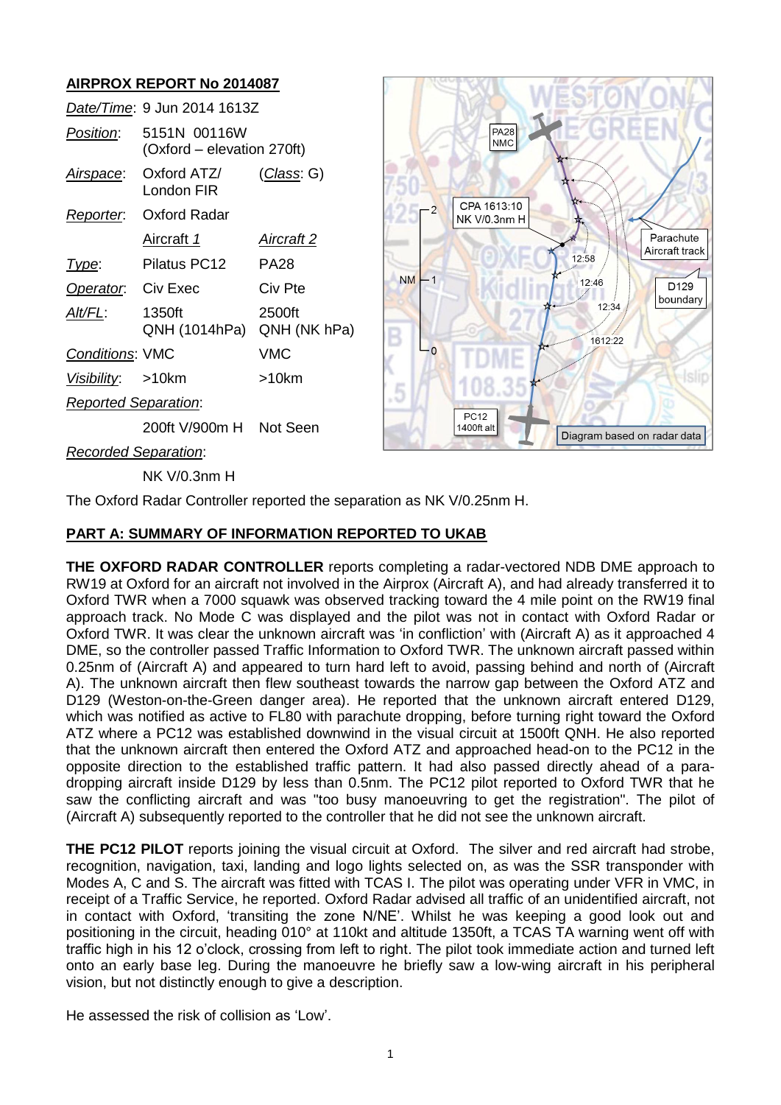# **AIRPROX REPORT No 2014087**

|                             | Date/Time: 9 Jun 2014 1613Z                |                        |
|-----------------------------|--------------------------------------------|------------------------|
| Position:                   | 5151N 00116W<br>(Oxford – elevation 270ft) |                        |
| Airspace:                   | Oxford ATZ/<br>I ondon FIR                 | (Class: G)             |
|                             | Reporter. Oxford Radar                     |                        |
|                             | Aircraft 1                                 | Aircraft 2             |
| Type:                       | Pilatus PC12                               | PA28                   |
| Operator. Civ Exec          |                                            | Civ Pte                |
| AIt/FL:                     | 1350ft<br>QNH (1014hPa)                    | 2500ft<br>QNH (NK hPa) |
| <b>Conditions: VMC</b>      |                                            | VMC                    |
| Visibility: >10km           |                                            | >10km                  |
| <b>Reported Separation:</b> |                                            |                        |
|                             | 200ft V/900m H Not Seen                    |                        |



*Recorded Separation*:

NK V/0.3nm H

The Oxford Radar Controller reported the separation as NK V/0.25nm H.

## **PART A: SUMMARY OF INFORMATION REPORTED TO UKAB**

**THE OXFORD RADAR CONTROLLER** reports completing a radar-vectored NDB DME approach to RW19 at Oxford for an aircraft not involved in the Airprox (Aircraft A), and had already transferred it to Oxford TWR when a 7000 squawk was observed tracking toward the 4 mile point on the RW19 final approach track. No Mode C was displayed and the pilot was not in contact with Oxford Radar or Oxford TWR. It was clear the unknown aircraft was 'in confliction' with (Aircraft A) as it approached 4 DME, so the controller passed Traffic Information to Oxford TWR. The unknown aircraft passed within 0.25nm of (Aircraft A) and appeared to turn hard left to avoid, passing behind and north of (Aircraft A). The unknown aircraft then flew southeast towards the narrow gap between the Oxford ATZ and D129 (Weston-on-the-Green danger area). He reported that the unknown aircraft entered D129, which was notified as active to FL80 with parachute dropping, before turning right toward the Oxford ATZ where a PC12 was established downwind in the visual circuit at 1500ft QNH. He also reported that the unknown aircraft then entered the Oxford ATZ and approached head-on to the PC12 in the opposite direction to the established traffic pattern. It had also passed directly ahead of a paradropping aircraft inside D129 by less than 0.5nm. The PC12 pilot reported to Oxford TWR that he saw the conflicting aircraft and was "too busy manoeuvring to get the registration". The pilot of (Aircraft A) subsequently reported to the controller that he did not see the unknown aircraft.

**THE PC12 PILOT** reports joining the visual circuit at Oxford. The silver and red aircraft had strobe, recognition, navigation, taxi, landing and logo lights selected on, as was the SSR transponder with Modes A, C and S. The aircraft was fitted with TCAS I. The pilot was operating under VFR in VMC, in receipt of a Traffic Service, he reported. Oxford Radar advised all traffic of an unidentified aircraft, not in contact with Oxford, 'transiting the zone N/NE'. Whilst he was keeping a good look out and positioning in the circuit, heading 010° at 110kt and altitude 1350ft, a TCAS TA warning went off with traffic high in his 12 o'clock, crossing from left to right. The pilot took immediate action and turned left onto an early base leg. During the manoeuvre he briefly saw a low-wing aircraft in his peripheral vision, but not distinctly enough to give a description.

He assessed the risk of collision as 'Low'.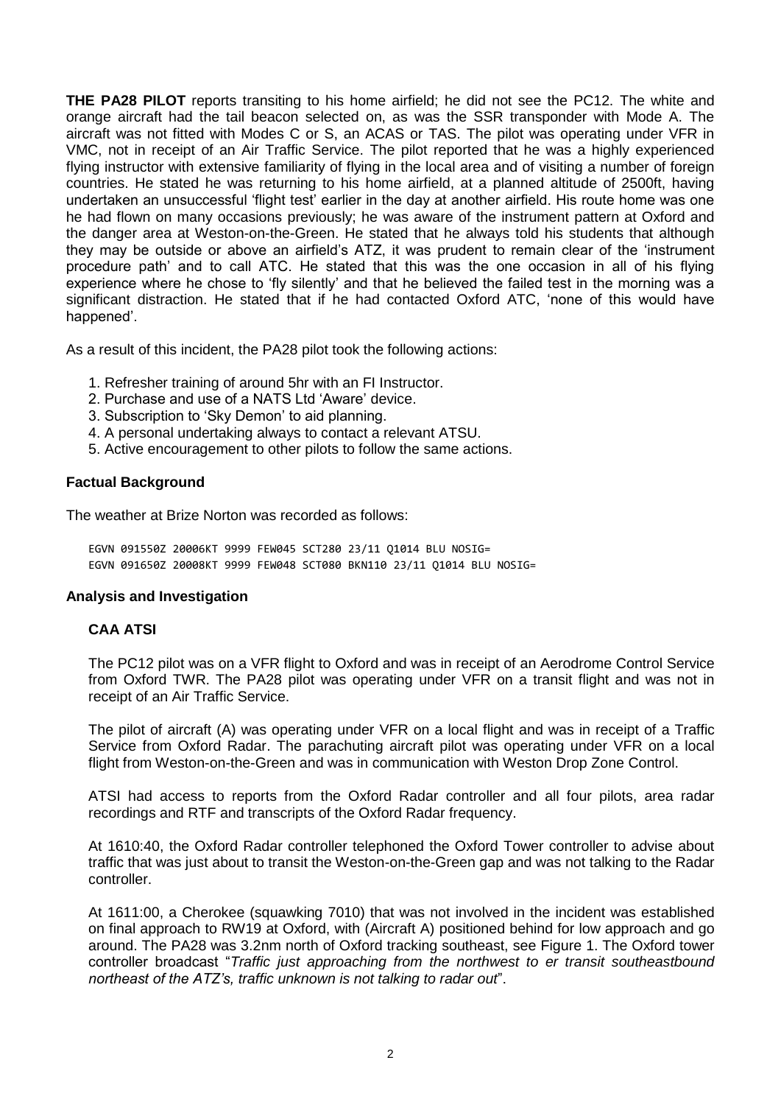**THE PA28 PILOT** reports transiting to his home airfield; he did not see the PC12. The white and orange aircraft had the tail beacon selected on, as was the SSR transponder with Mode A. The aircraft was not fitted with Modes C or S, an ACAS or TAS. The pilot was operating under VFR in VMC, not in receipt of an Air Traffic Service. The pilot reported that he was a highly experienced flying instructor with extensive familiarity of flying in the local area and of visiting a number of foreign countries. He stated he was returning to his home airfield, at a planned altitude of 2500ft, having undertaken an unsuccessful 'flight test' earlier in the day at another airfield. His route home was one he had flown on many occasions previously; he was aware of the instrument pattern at Oxford and the danger area at Weston-on-the-Green. He stated that he always told his students that although they may be outside or above an airfield's ATZ, it was prudent to remain clear of the 'instrument procedure path' and to call ATC. He stated that this was the one occasion in all of his flying experience where he chose to 'fly silently' and that he believed the failed test in the morning was a significant distraction. He stated that if he had contacted Oxford ATC, 'none of this would have happened'.

As a result of this incident, the PA28 pilot took the following actions:

- 1. Refresher training of around 5hr with an FI Instructor.
- 2. Purchase and use of a NATS Ltd 'Aware' device.
- 3. Subscription to 'Sky Demon' to aid planning.
- 4. A personal undertaking always to contact a relevant ATSU.
- 5. Active encouragement to other pilots to follow the same actions.

### **Factual Background**

The weather at Brize Norton was recorded as follows:

EGVN 091550Z 20006KT 9999 FEW045 SCT280 23/11 Q1014 BLU NOSIG= EGVN 091650Z 20008KT 9999 FEW048 SCT080 BKN110 23/11 Q1014 BLU NOSIG=

#### **Analysis and Investigation**

#### **CAA ATSI**

The PC12 pilot was on a VFR flight to Oxford and was in receipt of an Aerodrome Control Service from Oxford TWR. The PA28 pilot was operating under VFR on a transit flight and was not in receipt of an Air Traffic Service.

The pilot of aircraft (A) was operating under VFR on a local flight and was in receipt of a Traffic Service from Oxford Radar. The parachuting aircraft pilot was operating under VFR on a local flight from Weston-on-the-Green and was in communication with Weston Drop Zone Control.

ATSI had access to reports from the Oxford Radar controller and all four pilots, area radar recordings and RTF and transcripts of the Oxford Radar frequency.

At 1610:40, the Oxford Radar controller telephoned the Oxford Tower controller to advise about traffic that was just about to transit the Weston-on-the-Green gap and was not talking to the Radar controller.

At 1611:00, a Cherokee (squawking 7010) that was not involved in the incident was established on final approach to RW19 at Oxford, with (Aircraft A) positioned behind for low approach and go around. The PA28 was 3.2nm north of Oxford tracking southeast, see Figure 1. The Oxford tower controller broadcast "*Traffic just approaching from the northwest to er transit southeastbound northeast of the ATZ's, traffic unknown is not talking to radar out*".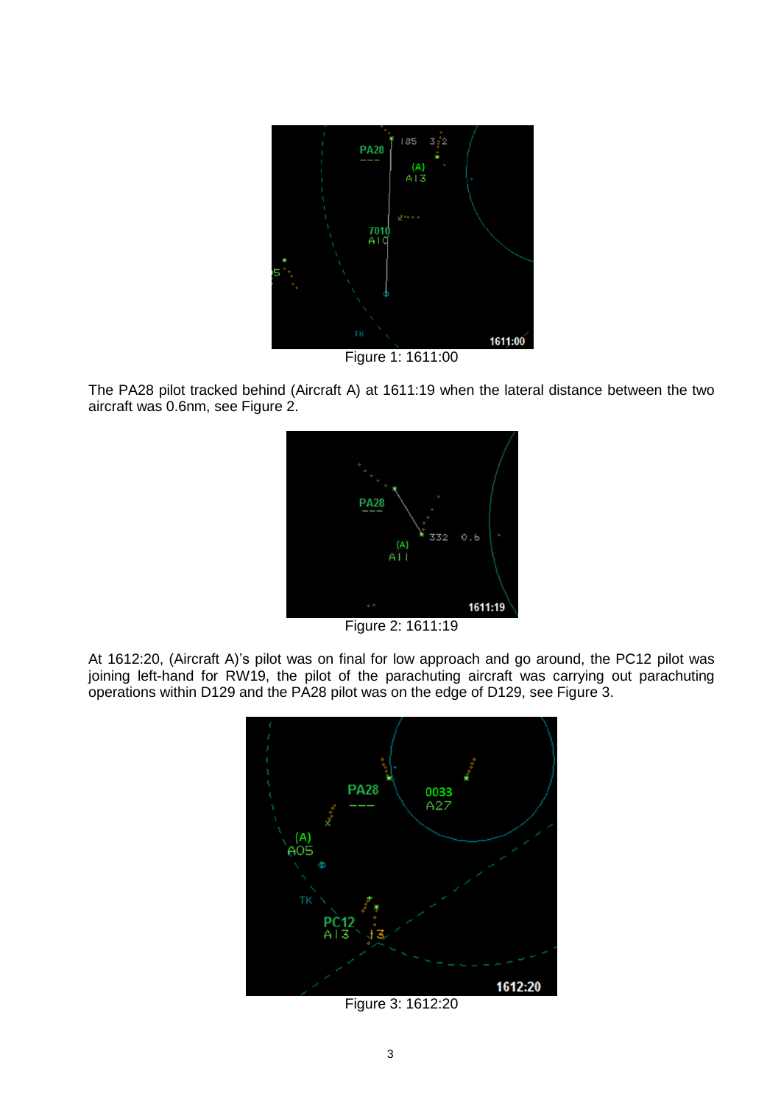

Figure 1: 1611:00

The PA28 pilot tracked behind (Aircraft A) at 1611:19 when the lateral distance between the two aircraft was 0.6nm, see Figure 2.



Figure 2: 1611:19

At 1612:20, (Aircraft A)'s pilot was on final for low approach and go around, the PC12 pilot was joining left-hand for RW19, the pilot of the parachuting aircraft was carrying out parachuting operations within D129 and the PA28 pilot was on the edge of D129, see Figure 3.



Figure 3: 1612:20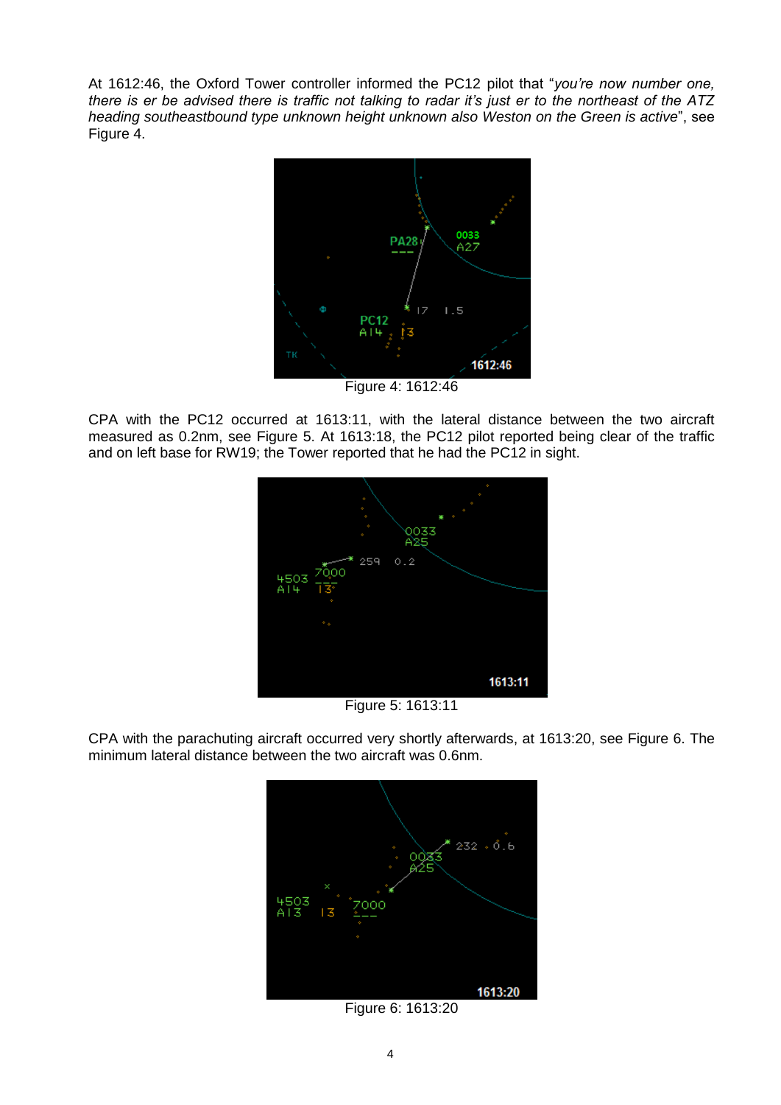At 1612:46, the Oxford Tower controller informed the PC12 pilot that "*you're now number one, there is er be advised there is traffic not talking to radar it's just er to the northeast of the ATZ heading southeastbound type unknown height unknown also Weston on the Green is active*", see Figure 4.



Figure 4: 1612:46

CPA with the PC12 occurred at 1613:11, with the lateral distance between the two aircraft measured as 0.2nm, see Figure 5. At 1613:18, the PC12 pilot reported being clear of the traffic and on left base for RW19; the Tower reported that he had the PC12 in sight.



Figure 5: 1613:11

CPA with the parachuting aircraft occurred very shortly afterwards, at 1613:20, see Figure 6. The minimum lateral distance between the two aircraft was 0.6nm.



Figure 6: 1613:20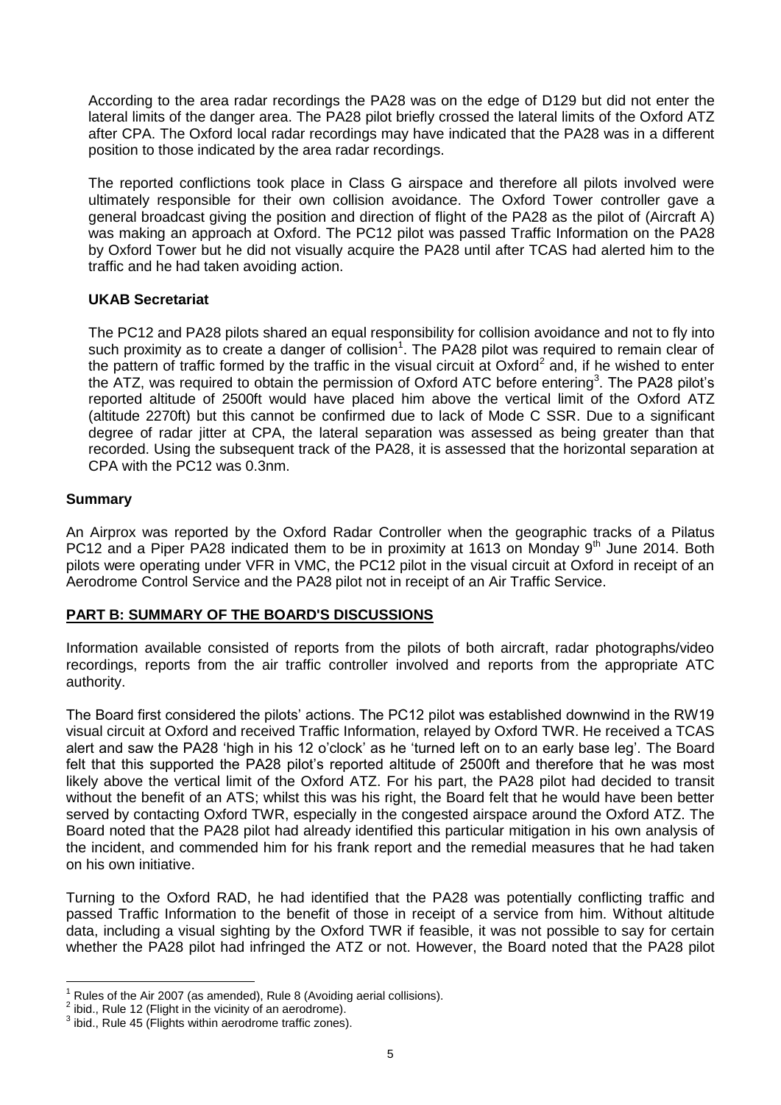According to the area radar recordings the PA28 was on the edge of D129 but did not enter the lateral limits of the danger area. The PA28 pilot briefly crossed the lateral limits of the Oxford ATZ after CPA. The Oxford local radar recordings may have indicated that the PA28 was in a different position to those indicated by the area radar recordings.

The reported conflictions took place in Class G airspace and therefore all pilots involved were ultimately responsible for their own collision avoidance. The Oxford Tower controller gave a general broadcast giving the position and direction of flight of the PA28 as the pilot of (Aircraft A) was making an approach at Oxford. The PC12 pilot was passed Traffic Information on the PA28 by Oxford Tower but he did not visually acquire the PA28 until after TCAS had alerted him to the traffic and he had taken avoiding action.

## **UKAB Secretariat**

The PC12 and PA28 pilots shared an equal responsibility for collision avoidance and not to fly into such proximity as to create a danger of collision<sup>1</sup>. The PA28 pilot was required to remain clear of the pattern of traffic formed by the traffic in the visual circuit at Oxford<sup>2</sup> and, if he wished to enter the ATZ, was required to obtain the permission of Oxford ATC before entering<sup>3</sup>. The PA28 pilot's reported altitude of 2500ft would have placed him above the vertical limit of the Oxford ATZ (altitude 2270ft) but this cannot be confirmed due to lack of Mode C SSR. Due to a significant degree of radar jitter at CPA, the lateral separation was assessed as being greater than that recorded. Using the subsequent track of the PA28, it is assessed that the horizontal separation at CPA with the PC12 was 0.3nm.

## **Summary**

An Airprox was reported by the Oxford Radar Controller when the geographic tracks of a Pilatus PC12 and a Piper PA28 indicated them to be in proximity at 1613 on Monday  $9<sup>th</sup>$  June 2014. Both pilots were operating under VFR in VMC, the PC12 pilot in the visual circuit at Oxford in receipt of an Aerodrome Control Service and the PA28 pilot not in receipt of an Air Traffic Service.

## **PART B: SUMMARY OF THE BOARD'S DISCUSSIONS**

Information available consisted of reports from the pilots of both aircraft, radar photographs/video recordings, reports from the air traffic controller involved and reports from the appropriate ATC authority.

The Board first considered the pilots' actions. The PC12 pilot was established downwind in the RW19 visual circuit at Oxford and received Traffic Information, relayed by Oxford TWR. He received a TCAS alert and saw the PA28 'high in his 12 o'clock' as he 'turned left on to an early base leg'. The Board felt that this supported the PA28 pilot's reported altitude of 2500ft and therefore that he was most likely above the vertical limit of the Oxford ATZ. For his part, the PA28 pilot had decided to transit without the benefit of an ATS; whilst this was his right, the Board felt that he would have been better served by contacting Oxford TWR, especially in the congested airspace around the Oxford ATZ. The Board noted that the PA28 pilot had already identified this particular mitigation in his own analysis of the incident, and commended him for his frank report and the remedial measures that he had taken on his own initiative.

Turning to the Oxford RAD, he had identified that the PA28 was potentially conflicting traffic and passed Traffic Information to the benefit of those in receipt of a service from him. Without altitude data, including a visual sighting by the Oxford TWR if feasible, it was not possible to say for certain whether the PA28 pilot had infringed the ATZ or not. However, the Board noted that the PA28 pilot

 $\overline{a}$ Rules of the Air 2007 (as amended), Rule 8 (Avoiding aerial collisions).

 $2$  ibid., Rule 12 (Flight in the vicinity of an aerodrome).

 $3$  ibid., Rule 45 (Flights within aerodrome traffic zones).